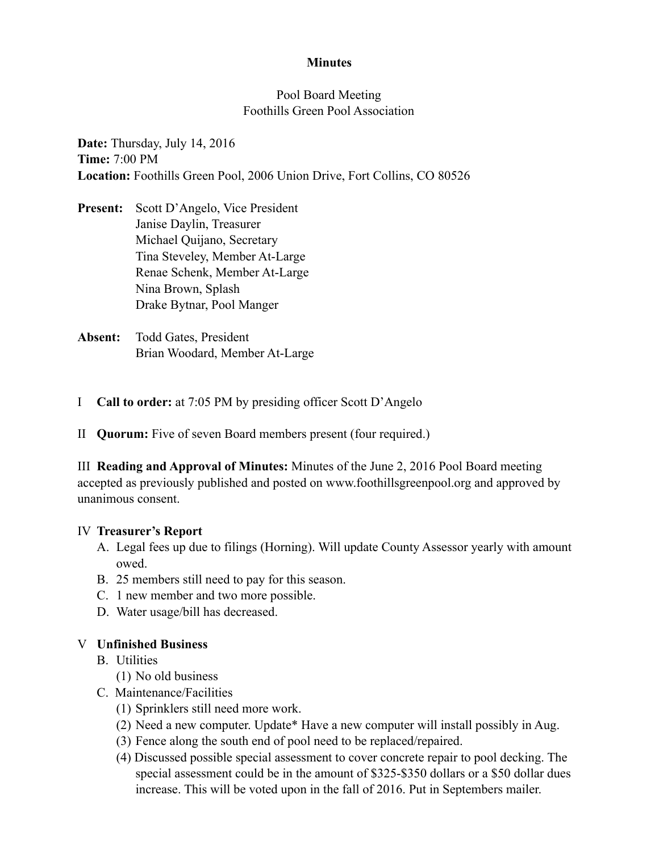### **Minutes**

### Pool Board Meeting Foothills Green Pool Association

**Date:** Thursday, July 14, 2016 **Time:** 7:00 PM **Location:** Foothills Green Pool, 2006 Union Drive, Fort Collins, CO 80526

- **Present:** Scott D'Angelo, Vice President Janise Daylin, Treasurer Michael Quijano, Secretary Tina Steveley, Member At-Large Renae Schenk, Member At-Large Nina Brown, Splash Drake Bytnar, Pool Manger
- **Absent:** Todd Gates, President Brian Woodard, Member At-Large
- I **Call to order:** at 7:05 PM by presiding officer Scott D'Angelo
- II **Quorum:** Five of seven Board members present (four required.)

III **Reading and Approval of Minutes:** Minutes of the June 2, 2016 Pool Board meeting accepted as previously published and posted on www.foothillsgreenpool.org and approved by unanimous consent.

### IV **Treasurer's Report**

- A. Legal fees up due to filings (Horning). Will update County Assessor yearly with amount owed.
- B. 25 members still need to pay for this season.
- C. 1 new member and two more possible.
- D. Water usage/bill has decreased.

### V **Unfinished Business**

- B. Utilities
	- (1) No old business
- C. Maintenance/Facilities
	- (1) Sprinklers still need more work.
	- (2) Need a new computer. Update\* Have a new computer will install possibly in Aug.
	- (3) Fence along the south end of pool need to be replaced/repaired.
	- (4) Discussed possible special assessment to cover concrete repair to pool decking. The special assessment could be in the amount of \$325-\$350 dollars or a \$50 dollar dues increase. This will be voted upon in the fall of 2016. Put in Septembers mailer.